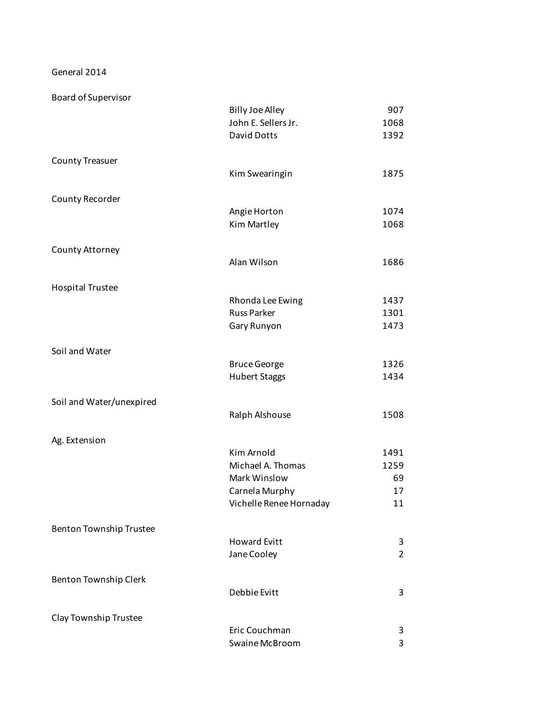General 2014

Board of Supervisor

|                                | <b>Billy Joe Alley</b>  | 907            |
|--------------------------------|-------------------------|----------------|
|                                | John E. Sellers Jr.     | 1068           |
|                                | David Dotts             | 1392           |
| <b>County Treasuer</b>         |                         |                |
|                                | Kim Swearingin          | 1875           |
| County Recorder                |                         |                |
|                                | Angie Horton            | 1074           |
|                                | Kim Martley             | 1068           |
| County Attorney                |                         |                |
|                                | Alan Wilson             | 1686           |
| <b>Hospital Trustee</b>        |                         |                |
|                                | Rhonda Lee Ewing        | 1437           |
|                                | <b>Russ Parker</b>      | 1301           |
|                                | Gary Runyon             | 1473           |
| Soil and Water                 |                         |                |
|                                | <b>Bruce George</b>     | 1326           |
|                                | <b>Hubert Staggs</b>    | 1434           |
| Soil and Water/unexpired       |                         |                |
|                                | Ralph Alshouse          | 1508           |
| Ag. Extension                  |                         |                |
|                                | Kim Arnold              | 1491           |
|                                | Michael A. Thomas       | 1259           |
|                                | Mark Winslow            | 69             |
|                                | Carnela Murphy          | 17             |
|                                | Vichelle Renee Hornaday | 11             |
| <b>Benton Township Trustee</b> |                         |                |
|                                | <b>Howard Evitt</b>     | 3              |
|                                | Jane Cooley             | $\overline{2}$ |
| Benton Township Clerk          |                         |                |
|                                | Debbie Evitt            | 3              |
| Clay Township Trustee          |                         |                |
|                                | Eric Couchman           | 3              |
|                                | Swaine McBroom          | 3              |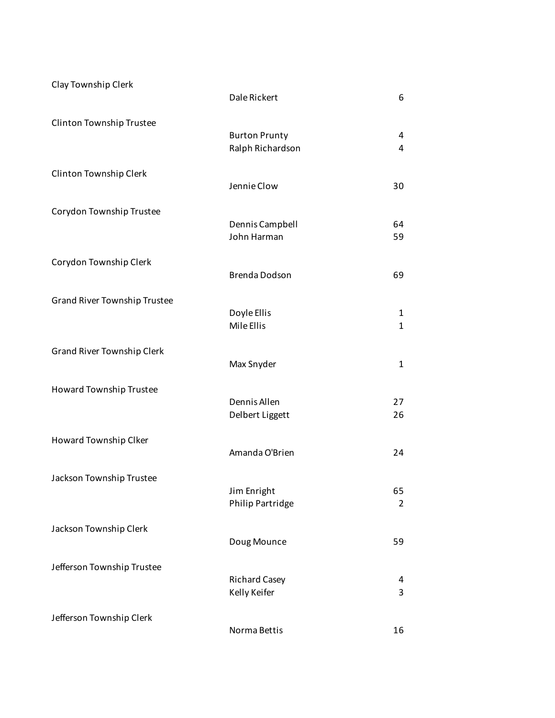| Clay Township Clerk                 | Dale Rickert                             | 6                            |
|-------------------------------------|------------------------------------------|------------------------------|
| Clinton Township Trustee            | <b>Burton Prunty</b><br>Ralph Richardson | 4<br>4                       |
| Clinton Township Clerk              | Jennie Clow                              | 30                           |
| Corydon Township Trustee            | Dennis Campbell<br>John Harman           | 64<br>59                     |
| Corydon Township Clerk              | <b>Brenda Dodson</b>                     | 69                           |
| <b>Grand River Township Trustee</b> | Doyle Ellis<br>Mile Ellis                | $\mathbf{1}$<br>$\mathbf{1}$ |
| <b>Grand River Township Clerk</b>   | Max Snyder                               | $\mathbf{1}$                 |
| Howard Township Trustee             | Dennis Allen<br>Delbert Liggett          | 27<br>26                     |
| Howard Township Clker               | Amanda O'Brien                           | 24                           |
| Jackson Township Trustee            | Jim Enright<br>Philip Partridge          | 65<br>$\overline{2}$         |
| Jackson Township Clerk              | Doug Mounce                              | 59                           |
| Jefferson Township Trustee          | <b>Richard Casey</b><br>Kelly Keifer     | 4<br>3                       |
| Jefferson Township Clerk            | Norma Bettis                             | 16                           |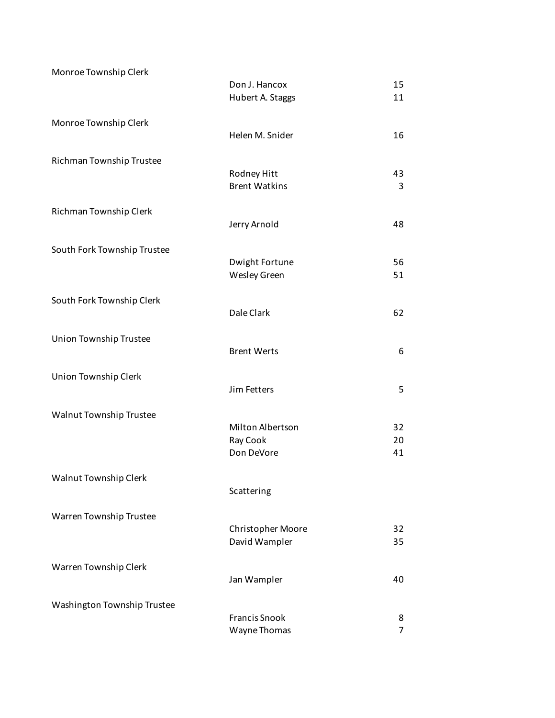| Monroe Township Clerk       | Don J. Hancox                        | 15                  |
|-----------------------------|--------------------------------------|---------------------|
|                             | Hubert A. Staggs                     | 11                  |
| Monroe Township Clerk       | Helen M. Snider                      | 16                  |
| Richman Township Trustee    |                                      |                     |
|                             | Rodney Hitt<br><b>Brent Watkins</b>  | 43<br>3             |
| Richman Township Clerk      | Jerry Arnold                         | 48                  |
| South Fork Township Trustee |                                      |                     |
|                             | Dwight Fortune<br>Wesley Green       | 56<br>51            |
| South Fork Township Clerk   |                                      |                     |
|                             | Dale Clark                           | 62                  |
| Union Township Trustee      | <b>Brent Werts</b>                   | 6                   |
| Union Township Clerk        |                                      |                     |
|                             | Jim Fetters                          | 5                   |
| Walnut Township Trustee     |                                      |                     |
|                             | Milton Albertson<br>Ray Cook         | 32<br>20            |
|                             | Don DeVore                           | 41                  |
| Walnut Township Clerk       |                                      |                     |
|                             | Scattering                           |                     |
| Warren Township Trustee     |                                      |                     |
|                             | Christopher Moore<br>David Wampler   | 32<br>35            |
| Warren Township Clerk       |                                      |                     |
|                             | Jan Wampler                          | 40                  |
| Washington Township Trustee |                                      |                     |
|                             | <b>Francis Snook</b><br>Wayne Thomas | 8<br>$\overline{7}$ |
|                             |                                      |                     |